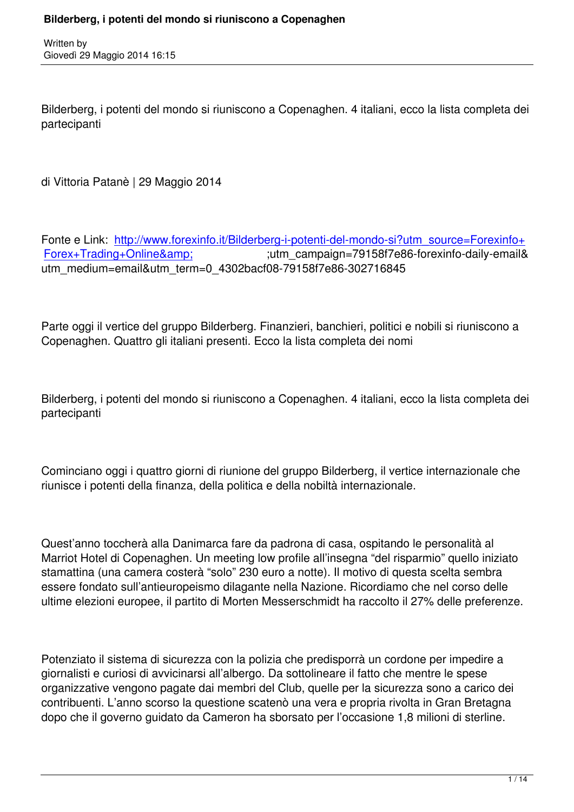Written by

Bilderberg, i potenti del mondo si riuniscono a Copenaghen. 4 italiani, ecco la lista completa dei partecipanti

di Vittoria Patanè | 29 Maggio 2014

Fonte e Link: http://www.forexinfo.it/Bilderberg-i-potenti-del-mondo-si?utm\_source=Forexinfo+ Forex+Trading+Online& amp;  $\frac{1}{8}$ ;utm\_campaign=79158f7e86-forexinfo-daily-email utm\_medium=email&utm\_term=0\_4302bacf08-79158f7e86-302716845

Parte oggi il vertice del gruppo Bilderberg. Finanzieri, banchieri, politici e nobili si riuniscono a Copenaghen. Quattro gli italiani presenti. Ecco la lista completa dei nomi

Bilderberg, i potenti del mondo si riuniscono a Copenaghen. 4 italiani, ecco la lista completa dei partecipanti

Cominciano oggi i quattro giorni di riunione del gruppo Bilderberg, il vertice internazionale che riunisce i potenti della finanza, della politica e della nobiltà internazionale.

Quest'anno toccherà alla Danimarca fare da padrona di casa, ospitando le personalità al Marriot Hotel di Copenaghen. Un meeting low profile all'insegna "del risparmio" quello iniziato stamattina (una camera costerà "solo" 230 euro a notte). Il motivo di questa scelta sembra essere fondato sull'antieuropeismo dilagante nella Nazione. Ricordiamo che nel corso delle ultime elezioni europee, il partito di Morten Messerschmidt ha raccolto il 27% delle preferenze.

Potenziato il sistema di sicurezza con la polizia che predisporrà un cordone per impedire a giornalisti e curiosi di avvicinarsi all'albergo. Da sottolineare il fatto che mentre le spese organizzative vengono pagate dai membri del Club, quelle per la sicurezza sono a carico dei contribuenti. L'anno scorso la questione scatenò una vera e propria rivolta in Gran Bretagna dopo che il governo guidato da Cameron ha sborsato per l'occasione 1,8 milioni di sterline.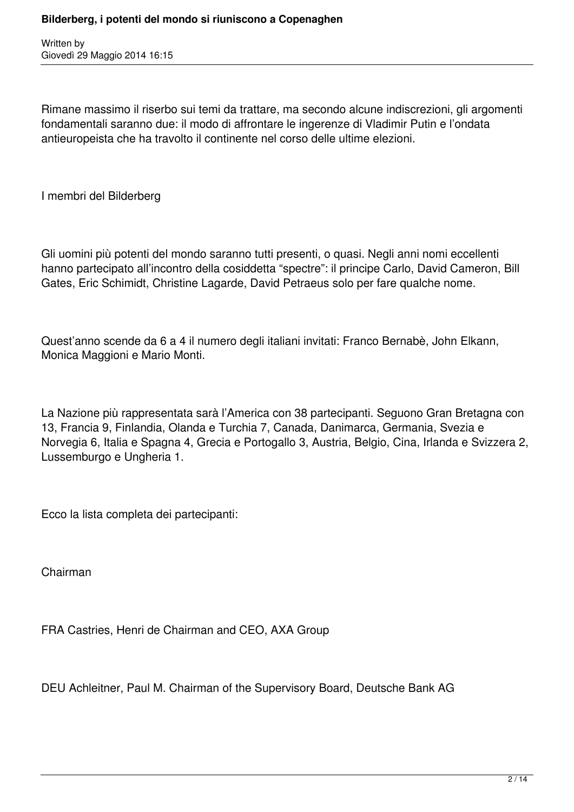Rimane massimo il riserbo sui temi da trattare, ma secondo alcune indiscrezioni, gli argomenti fondamentali saranno due: il modo di affrontare le ingerenze di Vladimir Putin e l'ondata antieuropeista che ha travolto il continente nel corso delle ultime elezioni.

I membri del Bilderberg

Gli uomini più potenti del mondo saranno tutti presenti, o quasi. Negli anni nomi eccellenti hanno partecipato all'incontro della cosiddetta "spectre": il principe Carlo, David Cameron, Bill Gates, Eric Schimidt, Christine Lagarde, David Petraeus solo per fare qualche nome.

Quest'anno scende da 6 a 4 il numero degli italiani invitati: Franco Bernabè, John Elkann, Monica Maggioni e Mario Monti.

La Nazione più rappresentata sarà l'America con 38 partecipanti. Seguono Gran Bretagna con 13, Francia 9, Finlandia, Olanda e Turchia 7, Canada, Danimarca, Germania, Svezia e Norvegia 6, Italia e Spagna 4, Grecia e Portogallo 3, Austria, Belgio, Cina, Irlanda e Svizzera 2, Lussemburgo e Ungheria 1.

Ecco la lista completa dei partecipanti:

Chairman

FRA Castries, Henri de Chairman and CEO, AXA Group

DEU Achleitner, Paul M. Chairman of the Supervisory Board, Deutsche Bank AG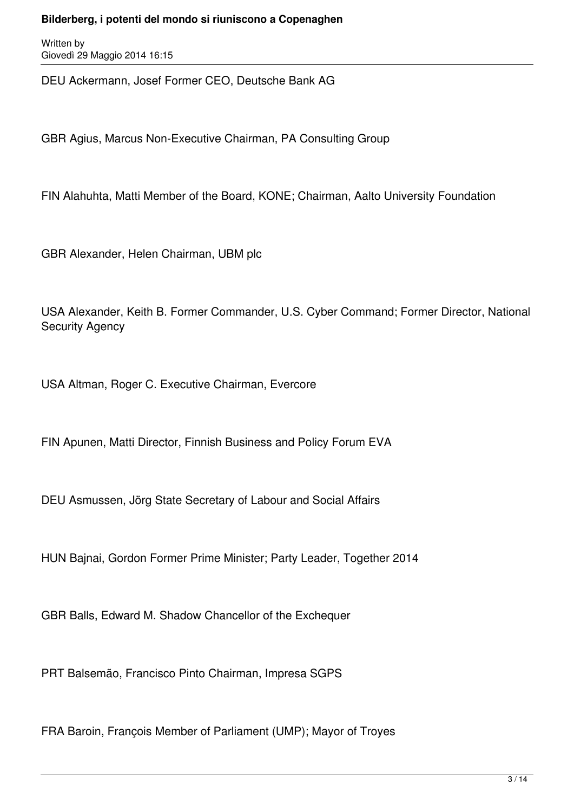Written by Giovedì 29 Maggio 2014 16:15

DEU Ackermann, Josef Former CEO, Deutsche Bank AG

GBR Agius, Marcus Non-Executive Chairman, PA Consulting Group

FIN Alahuhta, Matti Member of the Board, KONE; Chairman, Aalto University Foundation

GBR Alexander, Helen Chairman, UBM plc

USA Alexander, Keith B. Former Commander, U.S. Cyber Command; Former Director, National Security Agency

USA Altman, Roger C. Executive Chairman, Evercore

FIN Apunen, Matti Director, Finnish Business and Policy Forum EVA

DEU Asmussen, Jörg State Secretary of Labour and Social Affairs

HUN Bajnai, Gordon Former Prime Minister; Party Leader, Together 2014

GBR Balls, Edward M. Shadow Chancellor of the Exchequer

PRT Balsemão, Francisco Pinto Chairman, Impresa SGPS

FRA Baroin, François Member of Parliament (UMP); Mayor of Troyes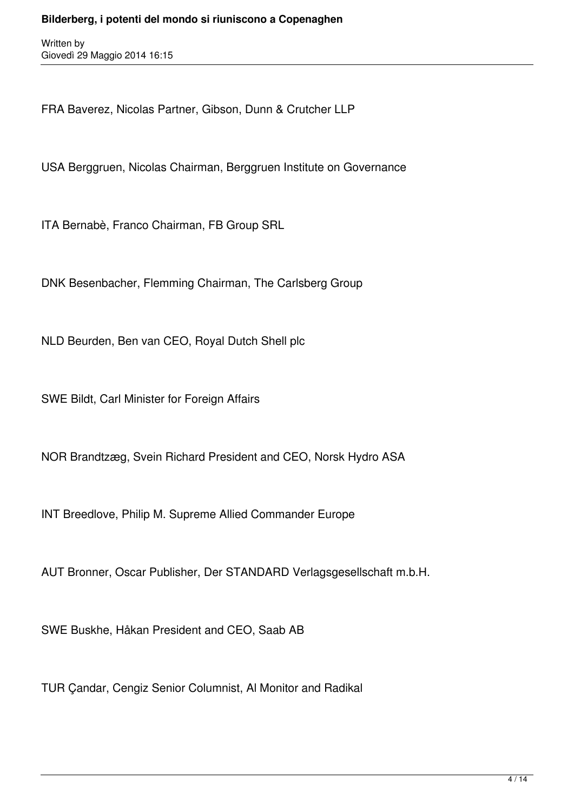FRA Baverez, Nicolas Partner, Gibson, Dunn & Crutcher LLP

USA Berggruen, Nicolas Chairman, Berggruen Institute on Governance

ITA Bernabè, Franco Chairman, FB Group SRL

DNK Besenbacher, Flemming Chairman, The Carlsberg Group

NLD Beurden, Ben van CEO, Royal Dutch Shell plc

SWE Bildt, Carl Minister for Foreign Affairs

NOR Brandtzæg, Svein Richard President and CEO, Norsk Hydro ASA

INT Breedlove, Philip M. Supreme Allied Commander Europe

AUT Bronner, Oscar Publisher, Der STANDARD Verlagsgesellschaft m.b.H.

SWE Buskhe, Håkan President and CEO, Saab AB

TUR Çandar, Cengiz Senior Columnist, Al Monitor and Radikal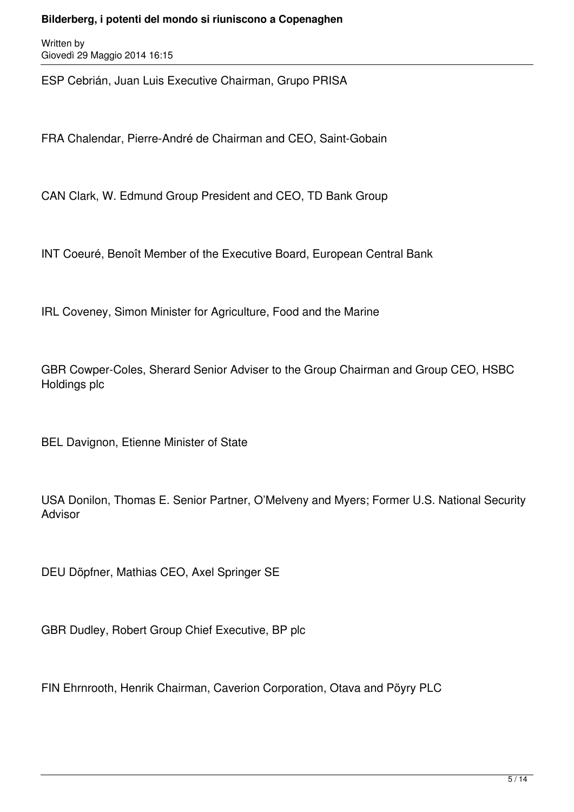Written by Giovedì 29 Maggio 2014 16:15

ESP Cebrián, Juan Luis Executive Chairman, Grupo PRISA

FRA Chalendar, Pierre-André de Chairman and CEO, Saint-Gobain

CAN Clark, W. Edmund Group President and CEO, TD Bank Group

INT Coeuré, Benoît Member of the Executive Board, European Central Bank

IRL Coveney, Simon Minister for Agriculture, Food and the Marine

GBR Cowper-Coles, Sherard Senior Adviser to the Group Chairman and Group CEO, HSBC Holdings plc

BEL Davignon, Etienne Minister of State

USA Donilon, Thomas E. Senior Partner, O'Melveny and Myers; Former U.S. National Security Advisor

DEU Döpfner, Mathias CEO, Axel Springer SE

GBR Dudley, Robert Group Chief Executive, BP plc

FIN Ehrnrooth, Henrik Chairman, Caverion Corporation, Otava and Pöyry PLC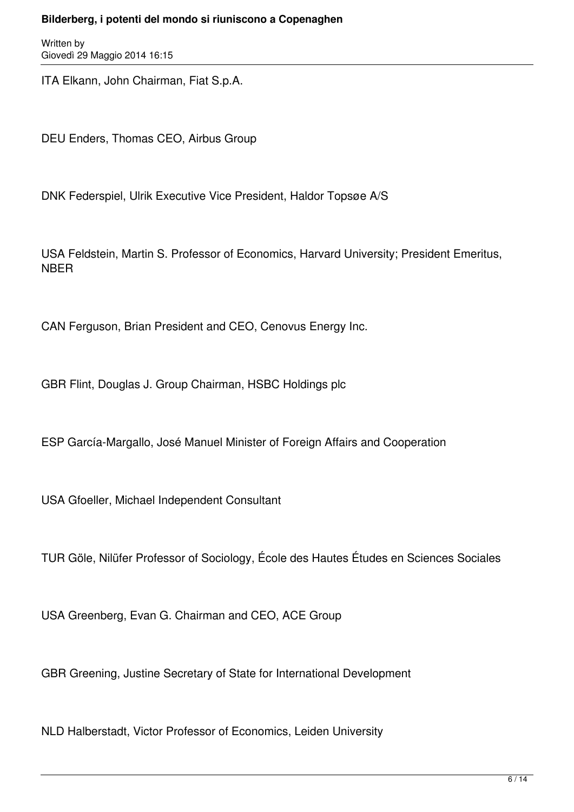Written by Giovedì 29 Maggio 2014 16:15

ITA Elkann, John Chairman, Fiat S.p.A.

DEU Enders, Thomas CEO, Airbus Group

DNK Federspiel, Ulrik Executive Vice President, Haldor Topsøe A/S

USA Feldstein, Martin S. Professor of Economics, Harvard University; President Emeritus, NBER

CAN Ferguson, Brian President and CEO, Cenovus Energy Inc.

GBR Flint, Douglas J. Group Chairman, HSBC Holdings plc

ESP García-Margallo, José Manuel Minister of Foreign Affairs and Cooperation

USA Gfoeller, Michael Independent Consultant

TUR Göle, Nilüfer Professor of Sociology, École des Hautes Études en Sciences Sociales

USA Greenberg, Evan G. Chairman and CEO, ACE Group

GBR Greening, Justine Secretary of State for International Development

NLD Halberstadt, Victor Professor of Economics, Leiden University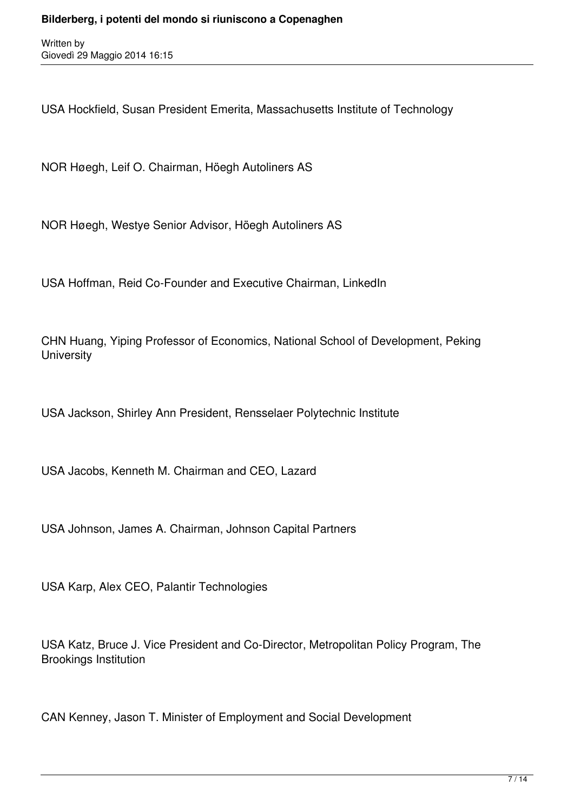USA Hockfield, Susan President Emerita, Massachusetts Institute of Technology

NOR Høegh, Leif O. Chairman, Höegh Autoliners AS

NOR Høegh, Westye Senior Advisor, Höegh Autoliners AS

USA Hoffman, Reid Co-Founder and Executive Chairman, LinkedIn

CHN Huang, Yiping Professor of Economics, National School of Development, Peking **University** 

USA Jackson, Shirley Ann President, Rensselaer Polytechnic Institute

USA Jacobs, Kenneth M. Chairman and CEO, Lazard

USA Johnson, James A. Chairman, Johnson Capital Partners

USA Karp, Alex CEO, Palantir Technologies

USA Katz, Bruce J. Vice President and Co-Director, Metropolitan Policy Program, The Brookings Institution

CAN Kenney, Jason T. Minister of Employment and Social Development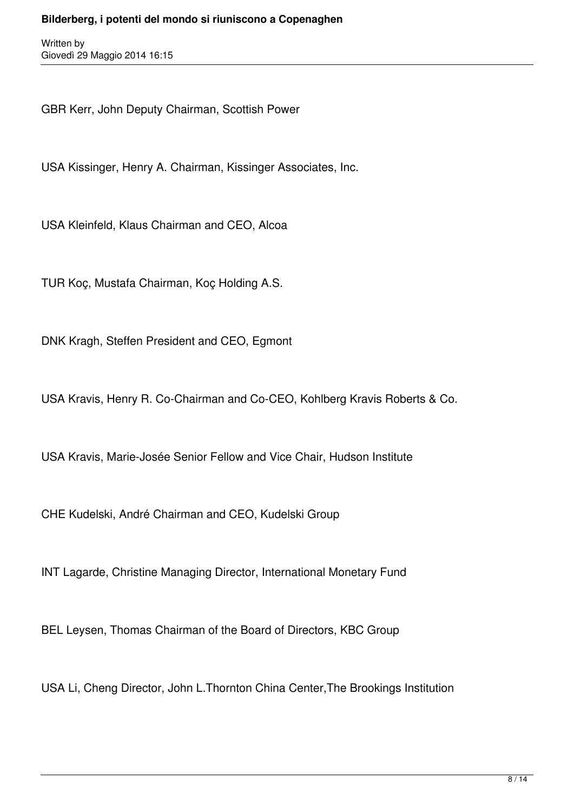GBR Kerr, John Deputy Chairman, Scottish Power

USA Kissinger, Henry A. Chairman, Kissinger Associates, Inc.

USA Kleinfeld, Klaus Chairman and CEO, Alcoa

TUR Koç, Mustafa Chairman, Koç Holding A.S.

DNK Kragh, Steffen President and CEO, Egmont

USA Kravis, Henry R. Co-Chairman and Co-CEO, Kohlberg Kravis Roberts & Co.

USA Kravis, Marie-Josée Senior Fellow and Vice Chair, Hudson Institute

CHE Kudelski, André Chairman and CEO, Kudelski Group

INT Lagarde, Christine Managing Director, International Monetary Fund

BEL Leysen, Thomas Chairman of the Board of Directors, KBC Group

USA Li, Cheng Director, John L.Thornton China Center,The Brookings Institution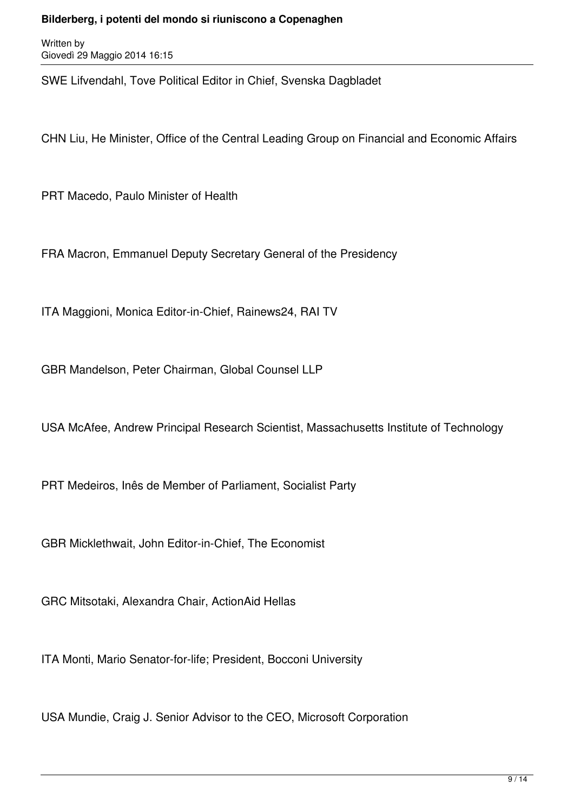Written by Giovedì 29 Maggio 2014 16:15

SWE Lifvendahl, Tove Political Editor in Chief, Svenska Dagbladet

CHN Liu, He Minister, Office of the Central Leading Group on Financial and Economic Affairs

PRT Macedo, Paulo Minister of Health

FRA Macron, Emmanuel Deputy Secretary General of the Presidency

ITA Maggioni, Monica Editor-in-Chief, Rainews24, RAI TV

GBR Mandelson, Peter Chairman, Global Counsel LLP

USA McAfee, Andrew Principal Research Scientist, Massachusetts Institute of Technology

PRT Medeiros, Inês de Member of Parliament, Socialist Party

GBR Micklethwait, John Editor-in-Chief, The Economist

GRC Mitsotaki, Alexandra Chair, ActionAid Hellas

ITA Monti, Mario Senator-for-life; President, Bocconi University

USA Mundie, Craig J. Senior Advisor to the CEO, Microsoft Corporation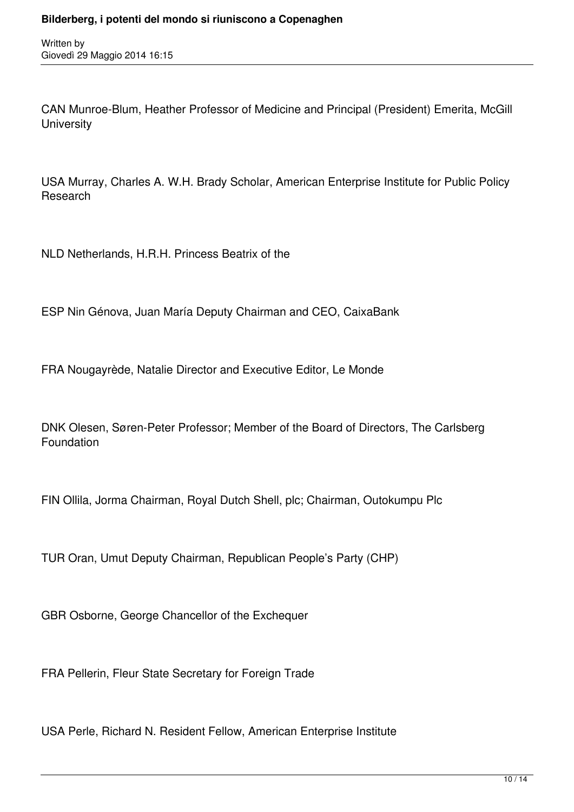CAN Munroe-Blum, Heather Professor of Medicine and Principal (President) Emerita, McGill **University** 

USA Murray, Charles A. W.H. Brady Scholar, American Enterprise Institute for Public Policy Research

NLD Netherlands, H.R.H. Princess Beatrix of the

ESP Nin Génova, Juan María Deputy Chairman and CEO, CaixaBank

FRA Nougayrède, Natalie Director and Executive Editor, Le Monde

DNK Olesen, Søren-Peter Professor; Member of the Board of Directors, The Carlsberg Foundation

FIN Ollila, Jorma Chairman, Royal Dutch Shell, plc; Chairman, Outokumpu Plc

TUR Oran, Umut Deputy Chairman, Republican People's Party (CHP)

GBR Osborne, George Chancellor of the Exchequer

FRA Pellerin, Fleur State Secretary for Foreign Trade

USA Perle, Richard N. Resident Fellow, American Enterprise Institute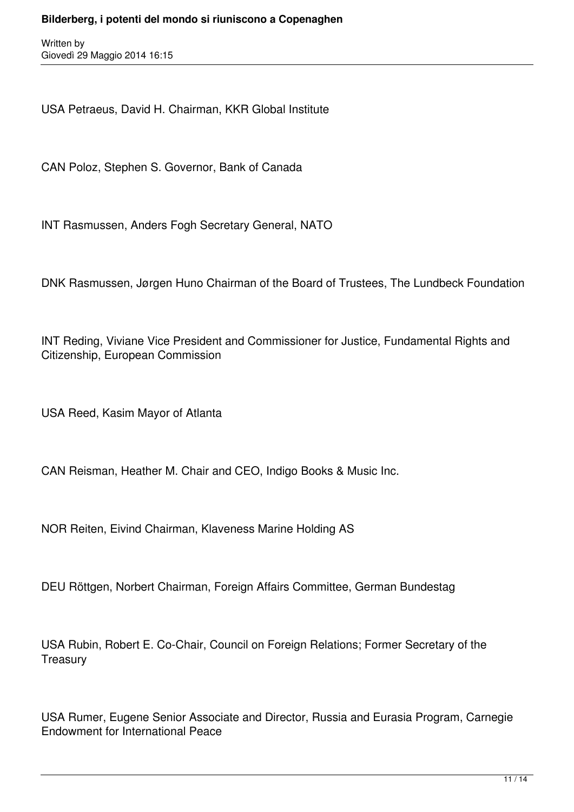USA Petraeus, David H. Chairman, KKR Global Institute

CAN Poloz, Stephen S. Governor, Bank of Canada

INT Rasmussen, Anders Fogh Secretary General, NATO

DNK Rasmussen, Jørgen Huno Chairman of the Board of Trustees, The Lundbeck Foundation

INT Reding, Viviane Vice President and Commissioner for Justice, Fundamental Rights and Citizenship, European Commission

USA Reed, Kasim Mayor of Atlanta

CAN Reisman, Heather M. Chair and CEO, Indigo Books & Music Inc.

NOR Reiten, Eivind Chairman, Klaveness Marine Holding AS

DEU Röttgen, Norbert Chairman, Foreign Affairs Committee, German Bundestag

USA Rubin, Robert E. Co-Chair, Council on Foreign Relations; Former Secretary of the **Treasury** 

USA Rumer, Eugene Senior Associate and Director, Russia and Eurasia Program, Carnegie Endowment for International Peace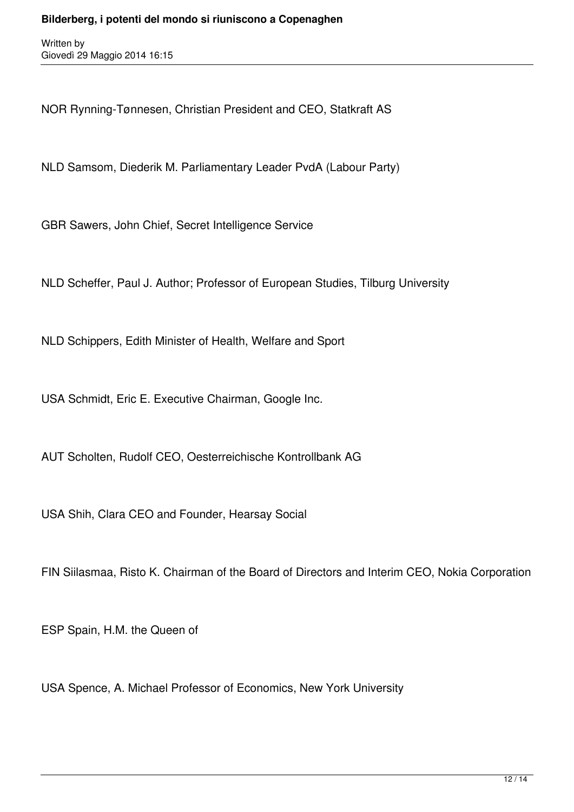NOR Rynning-Tønnesen, Christian President and CEO, Statkraft AS

NLD Samsom, Diederik M. Parliamentary Leader PvdA (Labour Party)

GBR Sawers, John Chief, Secret Intelligence Service

NLD Scheffer, Paul J. Author; Professor of European Studies, Tilburg University

NLD Schippers, Edith Minister of Health, Welfare and Sport

USA Schmidt, Eric E. Executive Chairman, Google Inc.

AUT Scholten, Rudolf CEO, Oesterreichische Kontrollbank AG

USA Shih, Clara CEO and Founder, Hearsay Social

FIN Siilasmaa, Risto K. Chairman of the Board of Directors and Interim CEO, Nokia Corporation

ESP Spain, H.M. the Queen of

USA Spence, A. Michael Professor of Economics, New York University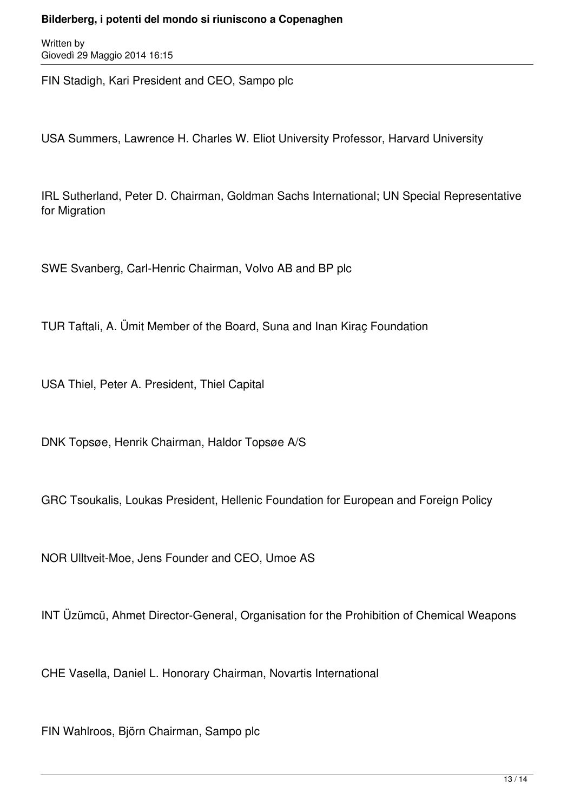Written by Giovedì 29 Maggio 2014 16:15

FIN Stadigh, Kari President and CEO, Sampo plc

USA Summers, Lawrence H. Charles W. Eliot University Professor, Harvard University

IRL Sutherland, Peter D. Chairman, Goldman Sachs International; UN Special Representative for Migration

SWE Svanberg, Carl-Henric Chairman, Volvo AB and BP plc

TUR Taftali, A. Ümit Member of the Board, Suna and Inan Kiraç Foundation

USA Thiel, Peter A. President, Thiel Capital

DNK Topsøe, Henrik Chairman, Haldor Topsøe A/S

GRC Tsoukalis, Loukas President, Hellenic Foundation for European and Foreign Policy

NOR Ulltveit-Moe, Jens Founder and CEO, Umoe AS

INT Üzümcü, Ahmet Director-General, Organisation for the Prohibition of Chemical Weapons

CHE Vasella, Daniel L. Honorary Chairman, Novartis International

FIN Wahlroos, Björn Chairman, Sampo plc